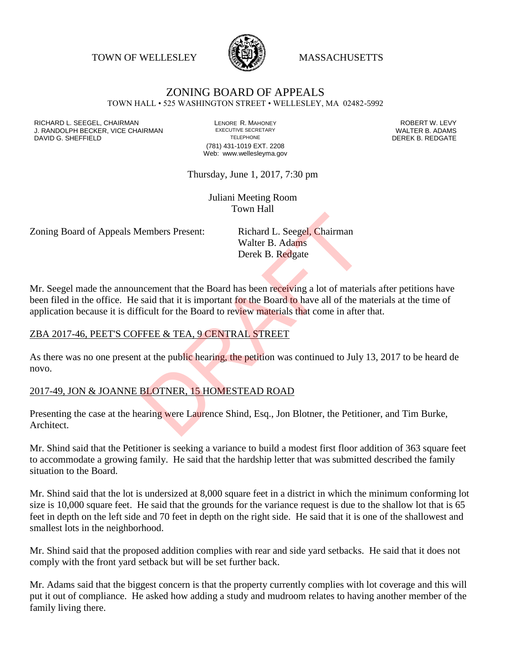TOWN OF WELLESLEY **WASSACHUSETTS** 



# ZONING BOARD OF APPEALS

TOWN HALL • 525 WASHINGTON STREET • WELLESLEY, MA 02482-5992

RICHARD L. SEEGEL, CHAIRMAN LENORE R. MAHONEY ROBERT W. LEVY J. RANDOLPH BECKER, VICE CHAIRMAN EXECUTIVE SECRETARY THE SECRET OF THE SANDOLPH BECKER, VICE CHAIRMAN EXECUTIVE SECRETARY<br>DAVID G. SHEFFIFI D DAVID G. SHEFFIELD

(781) 431-1019 EXT. 2208 Web: www.wellesleyma.gov

Thursday, June 1, 2017, 7:30 pm

Juliani Meeting Room Town Hall

Zoning Board of Appeals Members Present: Richard L. Seegel, Chairman

Walter B. Adams Derek B. Redgate

Mr. Seegel made the announcement that the Board has been receiving a lot of materials after petitions have been filed in the office. He said that it is important for the Board to have all of the materials at the time of application because it is difficult for the Board to review materials that come in after that. Example The Reader Contract Chairman<br>
Walter B. Adams<br>
Derek B. Redgate<br>
necement that the Board has been receiving a lot of materials<br>
said that it is important for the Board to have all of the m<br>
ficult for the Board to

#### ZBA 2017-46, PEET'S COFFEE & TEA, 9 CENTRAL STREET

As there was no one present at the public hearing, the petition was continued to July 13, 2017 to be heard de novo.

#### 2017-49, JON & JOANNE BLOTNER, 15 HOMESTEAD ROAD

Presenting the case at the hearing were Laurence Shind, Esq., Jon Blotner, the Petitioner, and Tim Burke, Architect.

Mr. Shind said that the Petitioner is seeking a variance to build a modest first floor addition of 363 square feet to accommodate a growing family. He said that the hardship letter that was submitted described the family situation to the Board.

Mr. Shind said that the lot is undersized at 8,000 square feet in a district in which the minimum conforming lot size is 10,000 square feet. He said that the grounds for the variance request is due to the shallow lot that is 65 feet in depth on the left side and 70 feet in depth on the right side. He said that it is one of the shallowest and smallest lots in the neighborhood.

Mr. Shind said that the proposed addition complies with rear and side yard setbacks. He said that it does not comply with the front yard setback but will be set further back.

Mr. Adams said that the biggest concern is that the property currently complies with lot coverage and this will put it out of compliance. He asked how adding a study and mudroom relates to having another member of the family living there.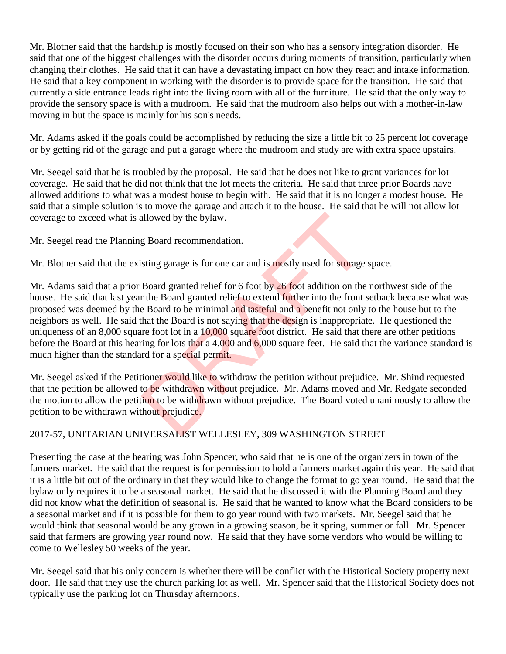Mr. Blotner said that the hardship is mostly focused on their son who has a sensory integration disorder. He said that one of the biggest challenges with the disorder occurs during moments of transition, particularly when changing their clothes. He said that it can have a devastating impact on how they react and intake information. He said that a key component in working with the disorder is to provide space for the transition. He said that currently a side entrance leads right into the living room with all of the furniture. He said that the only way to provide the sensory space is with a mudroom. He said that the mudroom also helps out with a mother-in-law moving in but the space is mainly for his son's needs.

Mr. Adams asked if the goals could be accomplished by reducing the size a little bit to 25 percent lot coverage or by getting rid of the garage and put a garage where the mudroom and study are with extra space upstairs.

Mr. Seegel said that he is troubled by the proposal. He said that he does not like to grant variances for lot coverage. He said that he did not think that the lot meets the criteria. He said that three prior Boards have allowed additions to what was a modest house to begin with. He said that it is no longer a modest house. He said that a simple solution is to move the garage and attach it to the house. He said that he will not allow lot coverage to exceed what is allowed by the bylaw.

Mr. Seegel read the Planning Board recommendation.

Mr. Blotner said that the existing garage is for one car and is mostly used for storage space.

Mr. Adams said that a prior Board granted relief for 6 foot by 26 foot addition on the northwest side of the house. He said that last year the Board granted relief to extend further into the front setback because what was proposed was deemed by the Board to be minimal and tasteful and a benefit not only to the house but to the neighbors as well. He said that the Board is not saying that the design is inappropriate. He questioned the uniqueness of an 8,000 square foot lot in a 10,000 square foot district. He said that there are other petitions before the Board at this hearing for lots that a 4,000 and 6,000 square feet. He said that the variance standard is much higher than the standard for a special permit. allowed by the bylaw.<br>
g Board recommendation.<br>
sting garage is for one car and is mostly used for storage<br>
Board granted relief for 6 foot by 26 foot addition on the<br>
r the Board granted relief to extend further into the

Mr. Seegel asked if the Petitioner would like to withdraw the petition without prejudice. Mr. Shind requested that the petition be allowed to be withdrawn without prejudice. Mr. Adams moved and Mr. Redgate seconded the motion to allow the petition to be withdrawn without prejudice. The Board voted unanimously to allow the petition to be withdrawn without prejudice.

## 2017-57, UNITARIAN UNIVERSALIST WELLESLEY, 309 WASHINGTON STREET

Presenting the case at the hearing was John Spencer, who said that he is one of the organizers in town of the farmers market. He said that the request is for permission to hold a farmers market again this year. He said that it is a little bit out of the ordinary in that they would like to change the format to go year round. He said that the bylaw only requires it to be a seasonal market. He said that he discussed it with the Planning Board and they did not know what the definition of seasonal is. He said that he wanted to know what the Board considers to be a seasonal market and if it is possible for them to go year round with two markets. Mr. Seegel said that he would think that seasonal would be any grown in a growing season, be it spring, summer or fall. Mr. Spencer said that farmers are growing year round now. He said that they have some vendors who would be willing to come to Wellesley 50 weeks of the year.

Mr. Seegel said that his only concern is whether there will be conflict with the Historical Society property next door. He said that they use the church parking lot as well. Mr. Spencer said that the Historical Society does not typically use the parking lot on Thursday afternoons.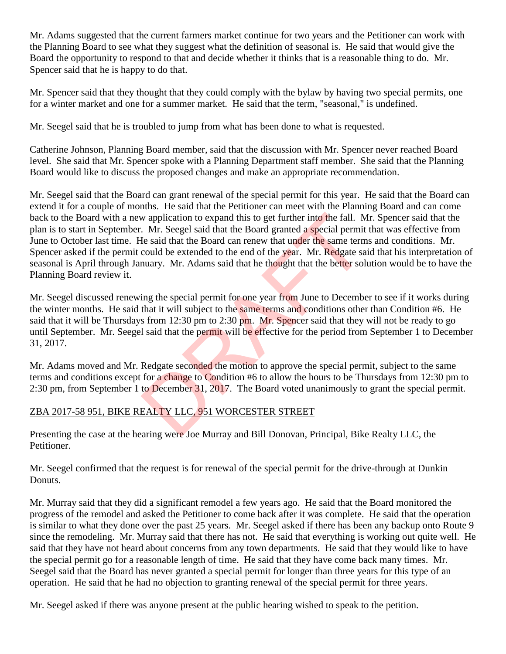Mr. Adams suggested that the current farmers market continue for two years and the Petitioner can work with the Planning Board to see what they suggest what the definition of seasonal is. He said that would give the Board the opportunity to respond to that and decide whether it thinks that is a reasonable thing to do. Mr. Spencer said that he is happy to do that.

Mr. Spencer said that they thought that they could comply with the bylaw by having two special permits, one for a winter market and one for a summer market. He said that the term, "seasonal," is undefined.

Mr. Seegel said that he is troubled to jump from what has been done to what is requested.

Catherine Johnson, Planning Board member, said that the discussion with Mr. Spencer never reached Board level. She said that Mr. Spencer spoke with a Planning Department staff member. She said that the Planning Board would like to discuss the proposed changes and make an appropriate recommendation.

Mr. Seegel said that the Board can grant renewal of the special permit for this year. He said that the Board can extend it for a couple of months. He said that the Petitioner can meet with the Planning Board and can come back to the Board with a new application to expand this to get further into the fall. Mr. Spencer said that the plan is to start in September. Mr. Seegel said that the Board granted a special permit that was effective from June to October last time. He said that the Board can renew that under the same terms and conditions. Mr. Spencer asked if the permit could be extended to the end of the year. Mr. Redgate said that his interpretation of seasonal is April through January. Mr. Adams said that he thought that the better solution would be to have the Planning Board review it. w application to expand this to get further into the fall. M<br>
Mr. Seegel said that the Board granted a special permit<br>
He said that the Board can renew that under the same term<br>
could be extended to the end of the year. Mr

Mr. Seegel discussed renewing the special permit for one year from June to December to see if it works during the winter months. He said that it will subject to the same terms and conditions other than Condition #6. He said that it will be Thursdays from 12:30 pm to 2:30 pm. Mr. Spencer said that they will not be ready to go until September. Mr. Seegel said that the permit will be effective for the period from September 1 to December 31, 2017.

Mr. Adams moved and Mr. Redgate seconded the motion to approve the special permit, subject to the same terms and conditions except for a change to Condition #6 to allow the hours to be Thursdays from 12:30 pm to 2:30 pm, from September 1 to December 31, 2017. The Board voted unanimously to grant the special permit.

## ZBA 2017-58 951, BIKE REALTY LLC, 951 WORCESTER STREET

Presenting the case at the hearing were Joe Murray and Bill Donovan, Principal, Bike Realty LLC, the Petitioner.

Mr. Seegel confirmed that the request is for renewal of the special permit for the drive-through at Dunkin Donuts.

Mr. Murray said that they did a significant remodel a few years ago. He said that the Board monitored the progress of the remodel and asked the Petitioner to come back after it was complete. He said that the operation is similar to what they done over the past 25 years. Mr. Seegel asked if there has been any backup onto Route 9 since the remodeling. Mr. Murray said that there has not. He said that everything is working out quite well. He said that they have not heard about concerns from any town departments. He said that they would like to have the special permit go for a reasonable length of time. He said that they have come back many times. Mr. Seegel said that the Board has never granted a special permit for longer than three years for this type of an operation. He said that he had no objection to granting renewal of the special permit for three years.

Mr. Seegel asked if there was anyone present at the public hearing wished to speak to the petition.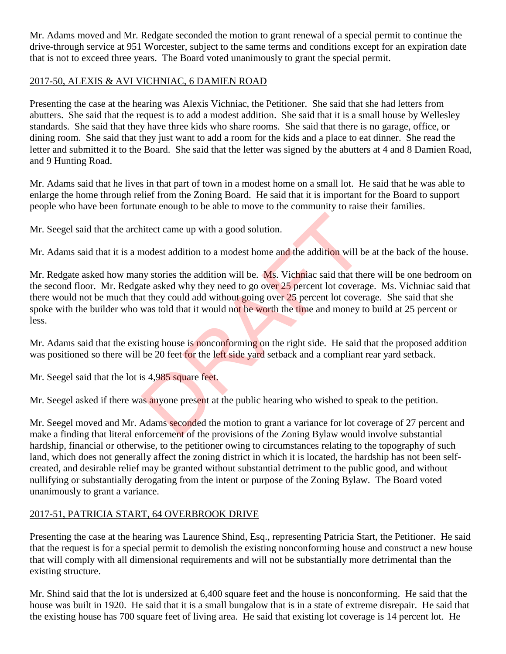Mr. Adams moved and Mr. Redgate seconded the motion to grant renewal of a special permit to continue the drive-through service at 951 Worcester, subject to the same terms and conditions except for an expiration date that is not to exceed three years. The Board voted unanimously to grant the special permit.

### 2017-50, ALEXIS & AVI VICHNIAC, 6 DAMIEN ROAD

Presenting the case at the hearing was Alexis Vichniac, the Petitioner. She said that she had letters from abutters. She said that the request is to add a modest addition. She said that it is a small house by Wellesley standards. She said that they have three kids who share rooms. She said that there is no garage, office, or dining room. She said that they just want to add a room for the kids and a place to eat dinner. She read the letter and submitted it to the Board. She said that the letter was signed by the abutters at 4 and 8 Damien Road, and 9 Hunting Road.

Mr. Adams said that he lives in that part of town in a modest home on a small lot. He said that he was able to enlarge the home through relief from the Zoning Board. He said that it is important for the Board to support people who have been fortunate enough to be able to move to the community to raise their families.

Mr. Seegel said that the architect came up with a good solution.

Mr. Adams said that it is a modest addition to a modest home and the addition will be at the back of the house.

Mr. Redgate asked how many stories the addition will be. Ms. Vichniac said that there will be one bedroom on the second floor. Mr. Redgate asked why they need to go over 25 percent lot coverage. Ms. Vichniac said that there would not be much that they could add without going over 25 percent lot coverage. She said that she spoke with the builder who was told that it would not be worth the time and money to build at 25 percent or less. itect came up with a good solution.<br>
modest addition to a modest home and the addition will b<br>
hy stories the addition will be. Ms. Vichniac said that the<br>
the asked why they need to go over 25 percent lot covera;<br>
they co

Mr. Adams said that the existing house is nonconforming on the right side. He said that the proposed addition was positioned so there will be 20 feet for the left side yard setback and a compliant rear yard setback.

Mr. Seegel said that the lot is 4,985 square feet.

Mr. Seegel asked if there was anyone present at the public hearing who wished to speak to the petition.

Mr. Seegel moved and Mr. Adams seconded the motion to grant a variance for lot coverage of 27 percent and make a finding that literal enforcement of the provisions of the Zoning Bylaw would involve substantial hardship, financial or otherwise, to the petitioner owing to circumstances relating to the topography of such land, which does not generally affect the zoning district in which it is located, the hardship has not been selfcreated, and desirable relief may be granted without substantial detriment to the public good, and without nullifying or substantially derogating from the intent or purpose of the Zoning Bylaw. The Board voted unanimously to grant a variance.

## 2017-51, PATRICIA START, 64 OVERBROOK DRIVE

Presenting the case at the hearing was Laurence Shind, Esq., representing Patricia Start, the Petitioner. He said that the request is for a special permit to demolish the existing nonconforming house and construct a new house that will comply with all dimensional requirements and will not be substantially more detrimental than the existing structure.

Mr. Shind said that the lot is undersized at 6,400 square feet and the house is nonconforming. He said that the house was built in 1920. He said that it is a small bungalow that is in a state of extreme disrepair. He said that the existing house has 700 square feet of living area. He said that existing lot coverage is 14 percent lot. He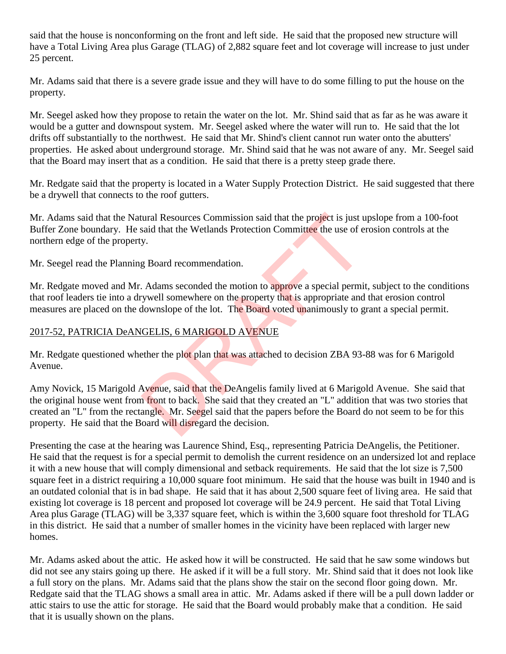said that the house is nonconforming on the front and left side. He said that the proposed new structure will have a Total Living Area plus Garage (TLAG) of 2,882 square feet and lot coverage will increase to just under 25 percent.

Mr. Adams said that there is a severe grade issue and they will have to do some filling to put the house on the property.

Mr. Seegel asked how they propose to retain the water on the lot. Mr. Shind said that as far as he was aware it would be a gutter and downspout system. Mr. Seegel asked where the water will run to. He said that the lot drifts off substantially to the northwest. He said that Mr. Shind's client cannot run water onto the abutters' properties. He asked about underground storage. Mr. Shind said that he was not aware of any. Mr. Seegel said that the Board may insert that as a condition. He said that there is a pretty steep grade there.

Mr. Redgate said that the property is located in a Water Supply Protection District. He said suggested that there be a drywell that connects to the roof gutters.

Mr. Adams said that the Natural Resources Commission said that the project is just upslope from a 100-foot Buffer Zone boundary. He said that the Wetlands Protection Committee the use of erosion controls at the northern edge of the property.

Mr. Seegel read the Planning Board recommendation.

Mr. Redgate moved and Mr. Adams seconded the motion to approve a special permit, subject to the conditions that roof leaders tie into a drywell somewhere on the property that is appropriate and that erosion control measures are placed on the downslope of the lot. The Board voted unanimously to grant a special permit.

#### 2017-52, PATRICIA DeANGELIS, 6 MARIGOLD AVENUE

Mr. Redgate questioned whether the plot plan that was attached to decision ZBA 93-88 was for 6 Marigold Avenue.

Amy Novick, 15 Marigold Avenue, said that the DeAngelis family lived at 6 Marigold Avenue. She said that the original house went from front to back. She said that they created an "L" addition that was two stories that created an "L" from the rectangle. Mr. Seegel said that the papers before the Board do not seem to be for this property. He said that the Board will disregard the decision. tural Resources Commission said that the project is just usaid that the Wetlands Protection Committee the use of e<br>y.<br>g Board recommendation.<br>Adams seconded the motion to approve a special permit<br>ywell somewhere on the pro

Presenting the case at the hearing was Laurence Shind, Esq., representing Patricia DeAngelis, the Petitioner. He said that the request is for a special permit to demolish the current residence on an undersized lot and replace it with a new house that will comply dimensional and setback requirements. He said that the lot size is 7,500 square feet in a district requiring a 10,000 square foot minimum. He said that the house was built in 1940 and is an outdated colonial that is in bad shape. He said that it has about 2,500 square feet of living area. He said that existing lot coverage is 18 percent and proposed lot coverage will be 24.9 percent. He said that Total Living Area plus Garage (TLAG) will be 3,337 square feet, which is within the 3,600 square foot threshold for TLAG in this district. He said that a number of smaller homes in the vicinity have been replaced with larger new homes.

Mr. Adams asked about the attic. He asked how it will be constructed. He said that he saw some windows but did not see any stairs going up there. He asked if it will be a full story. Mr. Shind said that it does not look like a full story on the plans. Mr. Adams said that the plans show the stair on the second floor going down. Mr. Redgate said that the TLAG shows a small area in attic. Mr. Adams asked if there will be a pull down ladder or attic stairs to use the attic for storage. He said that the Board would probably make that a condition. He said that it is usually shown on the plans.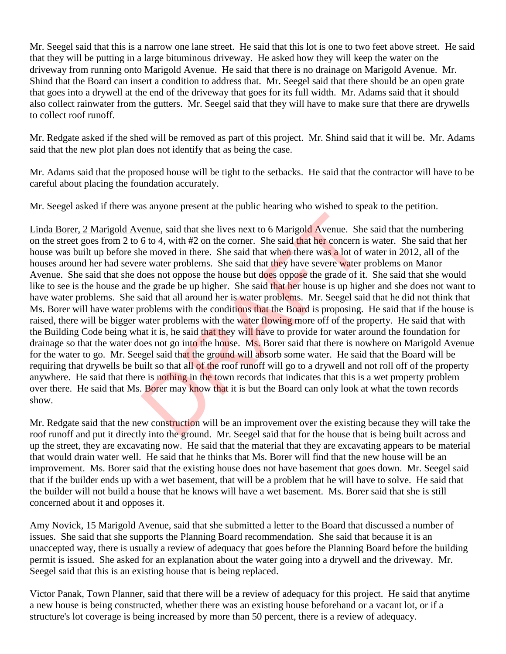Mr. Seegel said that this is a narrow one lane street. He said that this lot is one to two feet above street. He said that they will be putting in a large bituminous driveway. He asked how they will keep the water on the driveway from running onto Marigold Avenue. He said that there is no drainage on Marigold Avenue. Mr. Shind that the Board can insert a condition to address that. Mr. Seegel said that there should be an open grate that goes into a drywell at the end of the driveway that goes for its full width. Mr. Adams said that it should also collect rainwater from the gutters. Mr. Seegel said that they will have to make sure that there are drywells to collect roof runoff.

Mr. Redgate asked if the shed will be removed as part of this project. Mr. Shind said that it will be. Mr. Adams said that the new plot plan does not identify that as being the case.

Mr. Adams said that the proposed house will be tight to the setbacks. He said that the contractor will have to be careful about placing the foundation accurately.

Mr. Seegel asked if there was anyone present at the public hearing who wished to speak to the petition.

Linda Borer, 2 Marigold Avenue, said that she lives next to 6 Marigold Avenue. She said that the numbering on the street goes from 2 to 6 to 4, with #2 on the corner. She said that her concern is water. She said that her house was built up before she moved in there. She said that when there was a lot of water in 2012, all of the houses around her had severe water problems. She said that they have severe water problems on Manor Avenue. She said that she does not oppose the house but does oppose the grade of it. She said that she would like to see is the house and the grade be up higher. She said that her house is up higher and she does not want to have water problems. She said that all around her is water problems. Mr. Seegel said that he did not think that Ms. Borer will have water problems with the conditions that the Board is proposing. He said that if the house is raised, there will be bigger water problems with the water flowing more off of the property. He said that with the Building Code being what it is, he said that they will have to provide for water around the foundation for drainage so that the water does not go into the house. Ms. Borer said that there is nowhere on Marigold Avenue for the water to go. Mr. Seegel said that the ground will absorb some water. He said that the Board will be requiring that drywells be built so that all of the roof runoff will go to a drywell and not roll off of the property anywhere. He said that there is nothing in the town records that indicates that this is a wet property problem over there. He said that Ms. Borer may know that it is but the Board can only look at what the town records show. Example, said that she lives next to 6 Marigold Avenue. She<br>6 to 4, with #2 on the corner. She said that her concern i.<br>6 to 4, with #2 on the corner. She said that when there was a lot of<br>7 e water problems. She said tha

Mr. Redgate said that the new construction will be an improvement over the existing because they will take the roof runoff and put it directly into the ground. Mr. Seegel said that for the house that is being built across and up the street, they are excavating now. He said that the material that they are excavating appears to be material that would drain water well. He said that he thinks that Ms. Borer will find that the new house will be an improvement. Ms. Borer said that the existing house does not have basement that goes down. Mr. Seegel said that if the builder ends up with a wet basement, that will be a problem that he will have to solve. He said that the builder will not build a house that he knows will have a wet basement. Ms. Borer said that she is still concerned about it and opposes it.

Amy Novick, 15 Marigold Avenue, said that she submitted a letter to the Board that discussed a number of issues. She said that she supports the Planning Board recommendation. She said that because it is an unaccepted way, there is usually a review of adequacy that goes before the Planning Board before the building permit is issued. She asked for an explanation about the water going into a drywell and the driveway. Mr. Seegel said that this is an existing house that is being replaced.

Victor Panak, Town Planner, said that there will be a review of adequacy for this project. He said that anytime a new house is being constructed, whether there was an existing house beforehand or a vacant lot, or if a structure's lot coverage is being increased by more than 50 percent, there is a review of adequacy.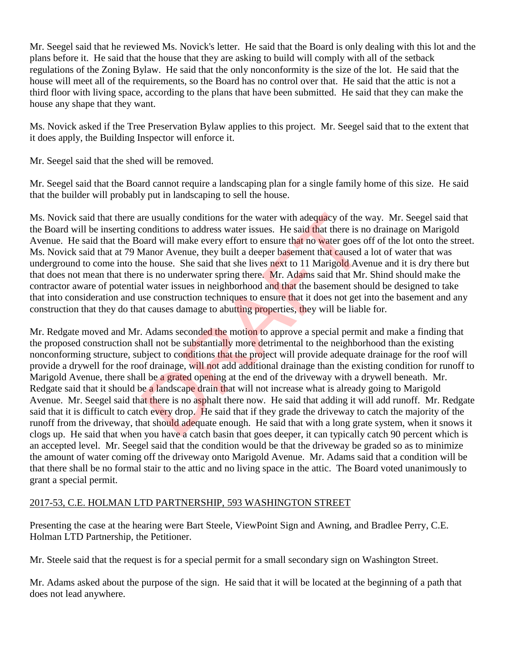Mr. Seegel said that he reviewed Ms. Novick's letter. He said that the Board is only dealing with this lot and the plans before it. He said that the house that they are asking to build will comply with all of the setback regulations of the Zoning Bylaw. He said that the only nonconformity is the size of the lot. He said that the house will meet all of the requirements, so the Board has no control over that. He said that the attic is not a third floor with living space, according to the plans that have been submitted. He said that they can make the house any shape that they want.

Ms. Novick asked if the Tree Preservation Bylaw applies to this project. Mr. Seegel said that to the extent that it does apply, the Building Inspector will enforce it.

Mr. Seegel said that the shed will be removed.

Mr. Seegel said that the Board cannot require a landscaping plan for a single family home of this size. He said that the builder will probably put in landscaping to sell the house.

Ms. Novick said that there are usually conditions for the water with adequacy of the way. Mr. Seegel said that the Board will be inserting conditions to address water issues. He said that there is no drainage on Marigold Avenue. He said that the Board will make every effort to ensure that no water goes off of the lot onto the street. Ms. Novick said that at 79 Manor Avenue, they built a deeper basement that caused a lot of water that was underground to come into the house. She said that she lives next to 11 Marigold Avenue and it is dry there but that does not mean that there is no underwater spring there. Mr. Adams said that Mr. Shind should make the contractor aware of potential water issues in neighborhood and that the basement should be designed to take that into consideration and use construction techniques to ensure that it does not get into the basement and any construction that they do that causes damage to abutting properties, they will be liable for.

Mr. Redgate moved and Mr. Adams seconded the motion to approve a special permit and make a finding that the proposed construction shall not be substantially more detrimental to the neighborhood than the existing nonconforming structure, subject to conditions that the project will provide adequate drainage for the roof will provide a drywell for the roof drainage, will not add additional drainage than the existing condition for runoff to Marigold Avenue, there shall be a grated opening at the end of the driveway with a drywell beneath. Mr. Redgate said that it should be a landscape drain that will not increase what is already going to Marigold Avenue. Mr. Seegel said that there is no asphalt there now. He said that adding it will add runoff. Mr. Redgate said that it is difficult to catch every drop. He said that if they grade the driveway to catch the majority of the runoff from the driveway, that should adequate enough. He said that with a long grate system, when it snows it clogs up. He said that when you have a catch basin that goes deeper, it can typically catch 90 percent which is an accepted level. Mr. Seegel said that the condition would be that the driveway be graded so as to minimize the amount of water coming off the driveway onto Marigold Avenue. Mr. Adams said that a condition will be that there shall be no formal stair to the attic and no living space in the attic. The Board voted unanimously to grant a special permit. re usually conditions for the water with adequacy of the conditions to address water issues. He said that there is n<br>and will make every effort to ensure that no water goes c<br>Aanor Avenue, they built a deeper basement that

## 2017-53, C.E. HOLMAN LTD PARTNERSHIP, 593 WASHINGTON STREET

Presenting the case at the hearing were Bart Steele, ViewPoint Sign and Awning, and Bradlee Perry, C.E. Holman LTD Partnership, the Petitioner.

Mr. Steele said that the request is for a special permit for a small secondary sign on Washington Street.

Mr. Adams asked about the purpose of the sign. He said that it will be located at the beginning of a path that does not lead anywhere.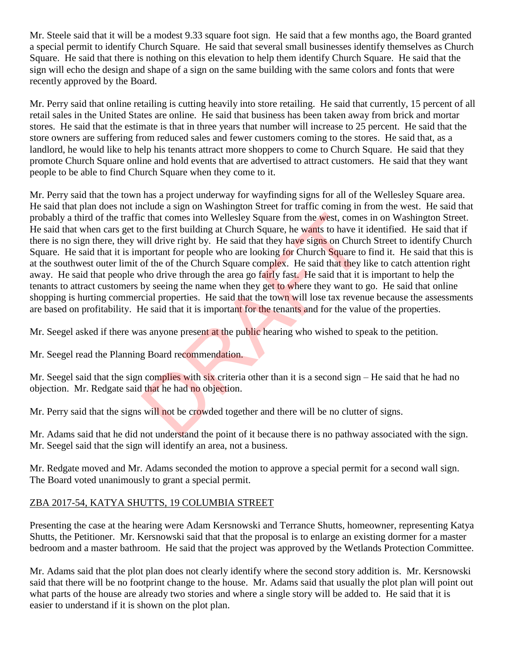Mr. Steele said that it will be a modest 9.33 square foot sign. He said that a few months ago, the Board granted a special permit to identify Church Square. He said that several small businesses identify themselves as Church Square. He said that there is nothing on this elevation to help them identify Church Square. He said that the sign will echo the design and shape of a sign on the same building with the same colors and fonts that were recently approved by the Board.

Mr. Perry said that online retailing is cutting heavily into store retailing. He said that currently, 15 percent of all retail sales in the United States are online. He said that business has been taken away from brick and mortar stores. He said that the estimate is that in three years that number will increase to 25 percent. He said that the store owners are suffering from reduced sales and fewer customers coming to the stores. He said that, as a landlord, he would like to help his tenants attract more shoppers to come to Church Square. He said that they promote Church Square online and hold events that are advertised to attract customers. He said that they want people to be able to find Church Square when they come to it.

Mr. Perry said that the town has a project underway for wayfinding signs for all of the Wellesley Square area. He said that plan does not include a sign on Washington Street for traffic coming in from the west. He said that probably a third of the traffic that comes into Wellesley Square from the west, comes in on Washington Street. He said that when cars get to the first building at Church Square, he wants to have it identified. He said that if there is no sign there, they will drive right by. He said that they have signs on Church Street to identify Church Square. He said that it is important for people who are looking for Church Square to find it. He said that this is at the southwest outer limit of the of the Church Square complex. He said that they like to catch attention right away. He said that people who drive through the area go fairly fast. He said that it is important to help the tenants to attract customers by seeing the name when they get to where they want to go. He said that online shopping is hurting commercial properties. He said that the town will lose tax revenue because the assessments are based on profitability. He said that it is important for the tenants and for the value of the properties. c that comes into Wellesley Square from the west, comes<br>o the first building at Church Square, he wants to have it<br>vill drive right by. He said that they have signs on Churc<br>portant for people who are looking for Church Sq

Mr. Seegel asked if there was anyone present at the public hearing who wished to speak to the petition.

Mr. Seegel read the Planning Board recommendation.

Mr. Seegel said that the sign complies with six criteria other than it is a second sign – He said that he had no objection. Mr. Redgate said that he had no objection.

Mr. Perry said that the signs will not be crowded together and there will be no clutter of signs.

Mr. Adams said that he did not understand the point of it because there is no pathway associated with the sign. Mr. Seegel said that the sign will identify an area, not a business.

Mr. Redgate moved and Mr. Adams seconded the motion to approve a special permit for a second wall sign. The Board voted unanimously to grant a special permit.

## ZBA 2017-54, KATYA SHUTTS, 19 COLUMBIA STREET

Presenting the case at the hearing were Adam Kersnowski and Terrance Shutts, homeowner, representing Katya Shutts, the Petitioner. Mr. Kersnowski said that that the proposal is to enlarge an existing dormer for a master bedroom and a master bathroom. He said that the project was approved by the Wetlands Protection Committee.

Mr. Adams said that the plot plan does not clearly identify where the second story addition is. Mr. Kersnowski said that there will be no footprint change to the house. Mr. Adams said that usually the plot plan will point out what parts of the house are already two stories and where a single story will be added to. He said that it is easier to understand if it is shown on the plot plan.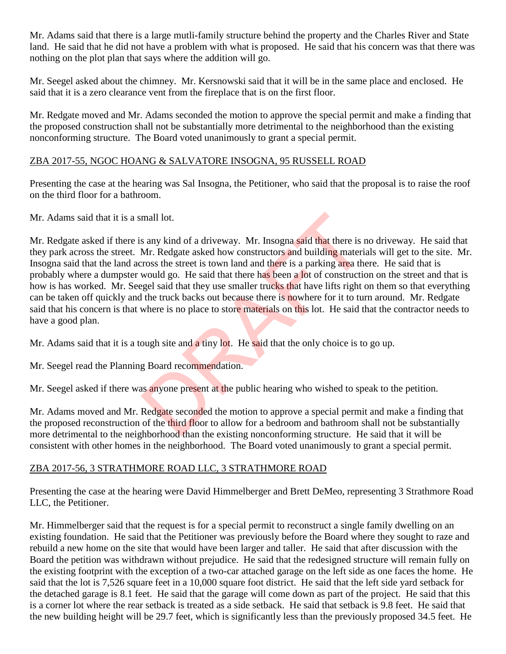Mr. Adams said that there is a large mutli-family structure behind the property and the Charles River and State land. He said that he did not have a problem with what is proposed. He said that his concern was that there was nothing on the plot plan that says where the addition will go.

Mr. Seegel asked about the chimney. Mr. Kersnowski said that it will be in the same place and enclosed. He said that it is a zero clearance vent from the fireplace that is on the first floor.

Mr. Redgate moved and Mr. Adams seconded the motion to approve the special permit and make a finding that the proposed construction shall not be substantially more detrimental to the neighborhood than the existing nonconforming structure. The Board voted unanimously to grant a special permit.

#### ZBA 2017-55, NGOC HOANG & SALVATORE INSOGNA, 95 RUSSELL ROAD

Presenting the case at the hearing was Sal Insogna, the Petitioner, who said that the proposal is to raise the roof on the third floor for a bathroom.

Mr. Adams said that it is a small lot.

Mr. Redgate asked if there is any kind of a driveway. Mr. Insogna said that there is no driveway. He said that they park across the street. Mr. Redgate asked how constructors and building materials will get to the site. Mr. Insogna said that the land across the street is town land and there is a parking area there. He said that is probably where a dumpster would go. He said that there has been a lot of construction on the street and that is how is has worked. Mr. Seegel said that they use smaller trucks that have lifts right on them so that everything can be taken off quickly and the truck backs out because there is nowhere for it to turn around. Mr. Redgate said that his concern is that where is no place to store materials on this lot. He said that the contractor needs to have a good plan. mall lot.<br>
So any kind of a driveway. Mr. Insogna said that there is I<br>
Mr. Redgate asked how constructors and building materi<br>
rross the street is town land and there is a parking area the<br>
would go. He said that there ha

Mr. Adams said that it is a tough site and a tiny lot. He said that the only choice is to go up.

Mr. Seegel read the Planning Board recommendation.

Mr. Seegel asked if there was anyone present at the public hearing who wished to speak to the petition.

Mr. Adams moved and Mr. Redgate seconded the motion to approve a special permit and make a finding that the proposed reconstruction of the third floor to allow for a bedroom and bathroom shall not be substantially more detrimental to the neighborhood than the existing nonconforming structure. He said that it will be consistent with other homes in the neighborhood. The Board voted unanimously to grant a special permit.

## ZBA 2017-56, 3 STRATHMORE ROAD LLC, 3 STRATHMORE ROAD

Presenting the case at the hearing were David Himmelberger and Brett DeMeo, representing 3 Strathmore Road LLC, the Petitioner.

Mr. Himmelberger said that the request is for a special permit to reconstruct a single family dwelling on an existing foundation. He said that the Petitioner was previously before the Board where they sought to raze and rebuild a new home on the site that would have been larger and taller. He said that after discussion with the Board the petition was withdrawn without prejudice. He said that the redesigned structure will remain fully on the existing footprint with the exception of a two-car attached garage on the left side as one faces the home. He said that the lot is 7,526 square feet in a 10,000 square foot district. He said that the left side yard setback for the detached garage is 8.1 feet. He said that the garage will come down as part of the project. He said that this is a corner lot where the rear setback is treated as a side setback. He said that setback is 9.8 feet. He said that the new building height will be 29.7 feet, which is significantly less than the previously proposed 34.5 feet. He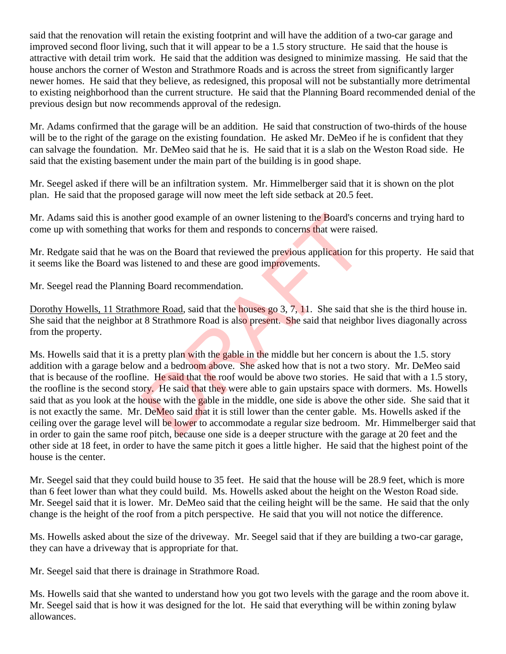said that the renovation will retain the existing footprint and will have the addition of a two-car garage and improved second floor living, such that it will appear to be a 1.5 story structure. He said that the house is attractive with detail trim work. He said that the addition was designed to minimize massing. He said that the house anchors the corner of Weston and Strathmore Roads and is across the street from significantly larger newer homes. He said that they believe, as redesigned, this proposal will not be substantially more detrimental to existing neighborhood than the current structure. He said that the Planning Board recommended denial of the previous design but now recommends approval of the redesign.

Mr. Adams confirmed that the garage will be an addition. He said that construction of two-thirds of the house will be to the right of the garage on the existing foundation. He asked Mr. DeMeo if he is confident that they can salvage the foundation. Mr. DeMeo said that he is. He said that it is a slab on the Weston Road side. He said that the existing basement under the main part of the building is in good shape.

Mr. Seegel asked if there will be an infiltration system. Mr. Himmelberger said that it is shown on the plot plan. He said that the proposed garage will now meet the left side setback at 20.5 feet.

Mr. Adams said this is another good example of an owner listening to the Board's concerns and trying hard to come up with something that works for them and responds to concerns that were raised.

Mr. Redgate said that he was on the Board that reviewed the previous application for this property. He said that it seems like the Board was listened to and these are good improvements.

Mr. Seegel read the Planning Board recommendation.

Dorothy Howells, 11 Strathmore Road, said that the houses go 3, 7, 11. She said that she is the third house in. She said that the neighbor at 8 Strathmore Road is also present. She said that neighbor lives diagonally across from the property.

Ms. Howells said that it is a pretty plan with the gable in the middle but her concern is about the 1.5. story addition with a garage below and a bedroom above. She asked how that is not a two story. Mr. DeMeo said that is because of the roofline. He said that the roof would be above two stories. He said that with a 1.5 story, the roofline is the second story. He said that they were able to gain upstairs space with dormers. Ms. Howells said that as you look at the house with the gable in the middle, one side is above the other side. She said that it is not exactly the same. Mr. DeMeo said that it is still lower than the center gable. Ms. Howells asked if the ceiling over the garage level will be lower to accommodate a regular size bedroom. Mr. Himmelberger said that in order to gain the same roof pitch, because one side is a deeper structure with the garage at 20 feet and the other side at 18 feet, in order to have the same pitch it goes a little higher. He said that the highest point of the house is the center. The same of an owner listening to the Board's compared that we are set to works for them and responds to concerns that were raised to and these are good improvements.<br>
Examed to and these are good improvements.<br>
Examed to

Mr. Seegel said that they could build house to 35 feet. He said that the house will be 28.9 feet, which is more than 6 feet lower than what they could build. Ms. Howells asked about the height on the Weston Road side. Mr. Seegel said that it is lower. Mr. DeMeo said that the ceiling height will be the same. He said that the only change is the height of the roof from a pitch perspective. He said that you will not notice the difference.

Ms. Howells asked about the size of the driveway. Mr. Seegel said that if they are building a two-car garage, they can have a driveway that is appropriate for that.

Mr. Seegel said that there is drainage in Strathmore Road.

Ms. Howells said that she wanted to understand how you got two levels with the garage and the room above it. Mr. Seegel said that is how it was designed for the lot. He said that everything will be within zoning bylaw allowances.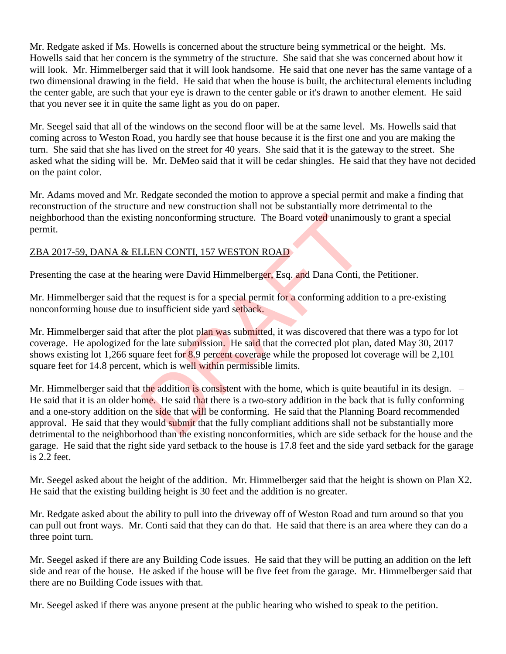Mr. Redgate asked if Ms. Howells is concerned about the structure being symmetrical or the height. Ms. Howells said that her concern is the symmetry of the structure. She said that she was concerned about how it will look. Mr. Himmelberger said that it will look handsome. He said that one never has the same vantage of a two dimensional drawing in the field. He said that when the house is built, the architectural elements including the center gable, are such that your eye is drawn to the center gable or it's drawn to another element. He said that you never see it in quite the same light as you do on paper.

Mr. Seegel said that all of the windows on the second floor will be at the same level. Ms. Howells said that coming across to Weston Road, you hardly see that house because it is the first one and you are making the turn. She said that she has lived on the street for 40 years. She said that it is the gateway to the street. She asked what the siding will be. Mr. DeMeo said that it will be cedar shingles. He said that they have not decided on the paint color.

Mr. Adams moved and Mr. Redgate seconded the motion to approve a special permit and make a finding that reconstruction of the structure and new construction shall not be substantially more detrimental to the neighborhood than the existing nonconforming structure. The Board voted unanimously to grant a special permit.

## ZBA 2017-59, DANA & ELLEN CONTI, 157 WESTON ROAD

Presenting the case at the hearing were David Himmelberger, Esq. and Dana Conti, the Petitioner.

Mr. Himmelberger said that the request is for a special permit for a conforming addition to a pre-existing nonconforming house due to insufficient side yard setback.

Mr. Himmelberger said that after the plot plan was submitted, it was discovered that there was a typo for lot coverage. He apologized for the late submission. He said that the corrected plot plan, dated May 30, 2017 shows existing lot 1,266 square feet for 8.9 percent coverage while the proposed lot coverage will be 2,101 square feet for 14.8 percent, which is well within permissible limits.

Mr. Himmelberger said that the addition is consistent with the home, which is quite beautiful in its design. – He said that it is an older home. He said that there is a two-story addition in the back that is fully conforming and a one-story addition on the side that will be conforming. He said that the Planning Board recommended approval. He said that they would submit that the fully compliant additions shall not be substantially more detrimental to the neighborhood than the existing nonconformities, which are side setback for the house and the garage. He said that the right side yard setback to the house is 17.8 feet and the side yard setback for the garage is 2.2 feet. ing nonconforming structure. The Board voted unanimord<br>
LEN CONTI, 157 WESTON ROAD<br>
arring were David Himmelberger, Esq. and Dana Conti, t<br>
the request is for a special permit for a conforming addit<br>
insufficient side yard

Mr. Seegel asked about the height of the addition. Mr. Himmelberger said that the height is shown on Plan X2. He said that the existing building height is 30 feet and the addition is no greater.

Mr. Redgate asked about the ability to pull into the driveway off of Weston Road and turn around so that you can pull out front ways. Mr. Conti said that they can do that. He said that there is an area where they can do a three point turn.

Mr. Seegel asked if there are any Building Code issues. He said that they will be putting an addition on the left side and rear of the house. He asked if the house will be five feet from the garage. Mr. Himmelberger said that there are no Building Code issues with that.

Mr. Seegel asked if there was anyone present at the public hearing who wished to speak to the petition.